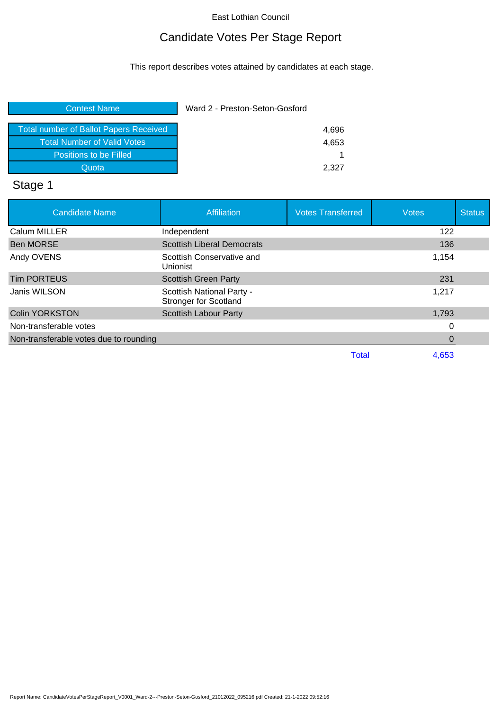# Candidate Votes Per Stage Report

This report describes votes attained by candidates at each stage.

| <b>Contest Name</b>                           | Ward 2 - Preston-Seton-Gosford |       |
|-----------------------------------------------|--------------------------------|-------|
| <b>Total number of Ballot Papers Received</b> |                                | 4,696 |
| <b>Total Number of Valid Votes</b>            |                                | 4,653 |
| Positions to be Filled                        |                                |       |
| Quota                                         |                                | 2.327 |
|                                               |                                |       |

# Stage 1

| <b>Candidate Name</b>                  | <b>Affiliation</b>                                        | <b>Votes Transferred</b> | <b>Votes</b> | <b>Status</b> |
|----------------------------------------|-----------------------------------------------------------|--------------------------|--------------|---------------|
| Calum MILLER                           | Independent                                               |                          | 122          |               |
| <b>Ben MORSE</b>                       | <b>Scottish Liberal Democrats</b>                         |                          | 136          |               |
| Andy OVENS                             | Scottish Conservative and<br><b>Unionist</b>              |                          | 1,154        |               |
| <b>Tim PORTEUS</b>                     | <b>Scottish Green Party</b>                               |                          | 231          |               |
| Janis WILSON                           | Scottish National Party -<br><b>Stronger for Scotland</b> |                          | 1,217        |               |
| <b>Colin YORKSTON</b>                  | <b>Scottish Labour Party</b>                              |                          | 1,793        |               |
| Non-transferable votes                 |                                                           |                          | 0            |               |
| Non-transferable votes due to rounding |                                                           |                          | 0            |               |
|                                        |                                                           | <b>Total</b>             | 4.653        |               |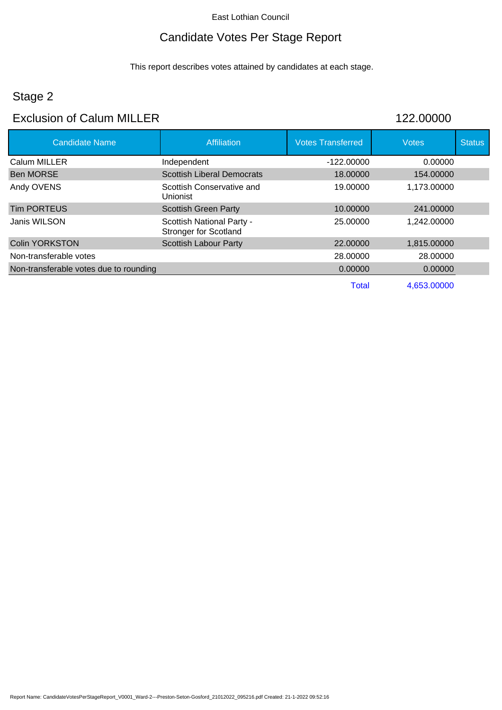### Candidate Votes Per Stage Report

This report describes votes attained by candidates at each stage.

# Stage 2

### Exclusion of Calum MILLER 122.00000

| <b>Candidate Name</b>                  | <b>Affiliation</b>                                        | <b>Votes Transferred</b> | <b>Votes</b> | <b>Status</b> |
|----------------------------------------|-----------------------------------------------------------|--------------------------|--------------|---------------|
| Calum MILLER                           | Independent                                               | $-122.00000$             | 0.00000      |               |
| <b>Ben MORSE</b>                       | <b>Scottish Liberal Democrats</b>                         | 18.00000                 | 154.00000    |               |
| Andy OVENS                             | Scottish Conservative and<br>Unionist                     | 19,00000                 | 1.173.00000  |               |
| <b>Tim PORTEUS</b>                     | <b>Scottish Green Party</b>                               | 10.00000                 | 241.00000    |               |
| Janis WILSON                           | Scottish National Party -<br><b>Stronger for Scotland</b> | 25,00000                 | 1,242.00000  |               |
| <b>Colin YORKSTON</b>                  | <b>Scottish Labour Party</b>                              | 22,00000                 | 1,815.00000  |               |
| Non-transferable votes                 |                                                           | 28,00000                 | 28.00000     |               |
| Non-transferable votes due to rounding |                                                           | 0.00000                  | 0.00000      |               |
|                                        |                                                           | Total                    | 4.653.00000  |               |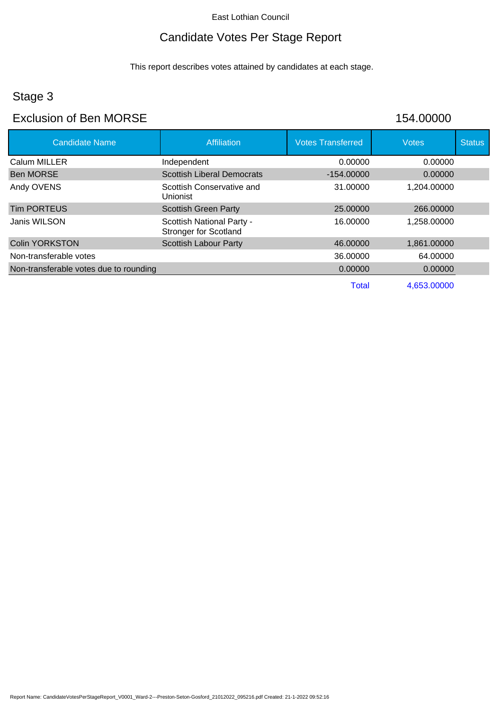# Candidate Votes Per Stage Report

This report describes votes attained by candidates at each stage.

# Stage 3

### Exclusion of Ben MORSE 154.00000

| <b>Candidate Name</b>                  | Affiliation                                               | <b>Votes Transferred</b> | <b>Votes</b> | <b>Status</b> |
|----------------------------------------|-----------------------------------------------------------|--------------------------|--------------|---------------|
| Calum MILLER                           | Independent                                               | 0.00000                  | 0.00000      |               |
| <b>Ben MORSE</b>                       | <b>Scottish Liberal Democrats</b>                         | $-154.00000$             | 0.00000      |               |
| Andy OVENS                             | Scottish Conservative and<br>Unionist                     | 31.00000                 | 1,204.00000  |               |
| Tim PORTEUS                            | <b>Scottish Green Party</b>                               | 25,00000                 | 266,00000    |               |
| Janis WILSON                           | Scottish National Party -<br><b>Stronger for Scotland</b> | 16.00000                 | 1,258.00000  |               |
| <b>Colin YORKSTON</b>                  | <b>Scottish Labour Party</b>                              | 46,00000                 | 1,861.00000  |               |
| Non-transferable votes                 |                                                           | 36,00000                 | 64.00000     |               |
| Non-transferable votes due to rounding |                                                           | 0.00000                  | 0.00000      |               |
|                                        |                                                           | <b>Total</b>             | 4,653.00000  |               |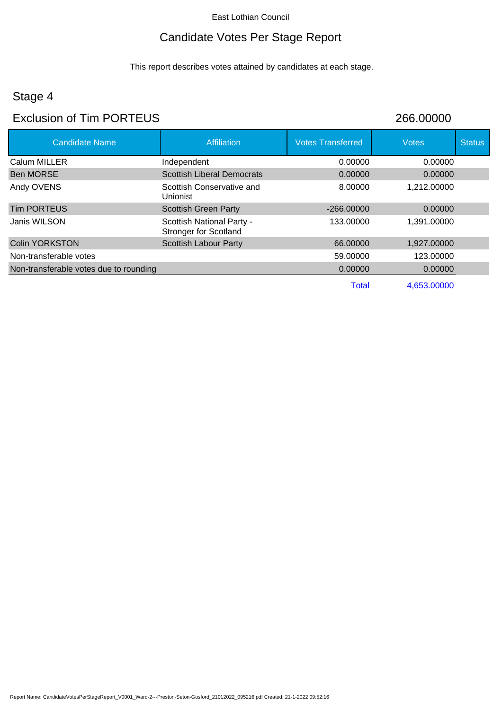# Candidate Votes Per Stage Report

This report describes votes attained by candidates at each stage.

# Stage 4

### Exclusion of Tim PORTEUS 266.00000

| <b>Candidate Name</b>                  | Affiliation                                               | <b>Votes Transferred</b> | <b>Votes</b> | <b>Status</b> |
|----------------------------------------|-----------------------------------------------------------|--------------------------|--------------|---------------|
| Calum MILLER                           | Independent                                               | 0.00000                  | 0.00000      |               |
| Ben MORSE                              | <b>Scottish Liberal Democrats</b>                         | 0.00000                  | 0.00000      |               |
| Andy OVENS                             | Scottish Conservative and<br>Unionist                     | 8.00000                  | 1,212.00000  |               |
| <b>Tim PORTEUS</b>                     | <b>Scottish Green Party</b>                               | $-266,00000$             | 0.00000      |               |
| Janis WILSON                           | Scottish National Party -<br><b>Stronger for Scotland</b> | 133,00000                | 1,391.00000  |               |
| <b>Colin YORKSTON</b>                  | <b>Scottish Labour Party</b>                              | 66.00000                 | 1,927.00000  |               |
| Non-transferable votes                 |                                                           | 59.00000                 | 123.00000    |               |
| Non-transferable votes due to rounding |                                                           | 0.00000                  | 0.00000      |               |
|                                        |                                                           | <b>Total</b>             | 4,653.00000  |               |